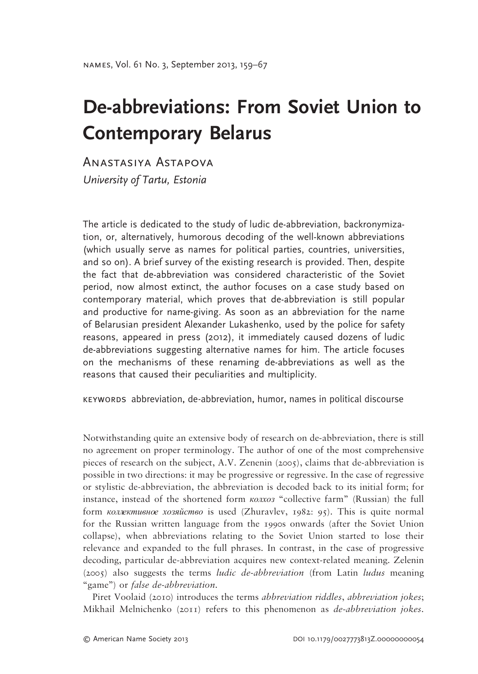# **De-abbreviations: From Soviet Union to Contemporary Belarus**

Anastasiya Astapova*University of Tartu, Estonia*

The article is dedicated to the study of ludic de-abbreviation, backronymization, or, alternatively, humorous decoding of the well-known abbreviations (which usually serve as names for political parties, countries, universities, and so on). A brief survey of the existing research is provided. Then, despite the fact that de-abbreviation was considered characteristic of the Soviet period, now almost extinct, the author focuses on a case study based on contemporary material, which proves that de-abbreviation is still popular and productive for name-giving. As soon as an abbreviation for the name of Belarusian president Alexander Lukashenko, used by the police for safety reasons, appeared in press (2012), it immediately caused dozens of ludic de-abbreviations suggesting alternative names for him. The article focuses on the mechanisms of these renaming de-abbreviations as well as the reasons that caused their peculiarities and multiplicity.

keywords abbreviation, de-abbreviation, humor, names in political discourse

Notwithstanding quite an extensive body of research on de-abbreviation, there is still no agreement on proper terminology. The author of one of the most comprehensive pieces of research on the subject, A.V. Zenenin (2005), claims that de-abbreviation is possible in two directions: it may be progressive or regressive. In the case of regressive or stylistic de-abbreviation, the abbreviation is decoded back to its initial form; for instance, instead of the shortened form *колхоз* "collective farm" (Russian) the full form *коллективное хозяйство* is used (Zhuravlev, 1982: 95). This is quite normal for the Russian written language from the 1990s onwards (after the Soviet Union collapse), when abbreviations relating to the Soviet Union started to lose their relevance and expanded to the full phrases. In contrast, in the case of progressive decoding, particular de-abbreviation acquires new context-related meaning. Zelenin (2005) also suggests the terms *ludic de-abbreviation* (from Latin *ludus* meaning "game") or *false de-abbreviation*.

Piret Voolaid (2010) introduces the terms *abbreviation riddles*, *abbreviation jokes*; Mikhail Melnichenko (2011) refers to this phenomenon as *de-abbreviation jokes*.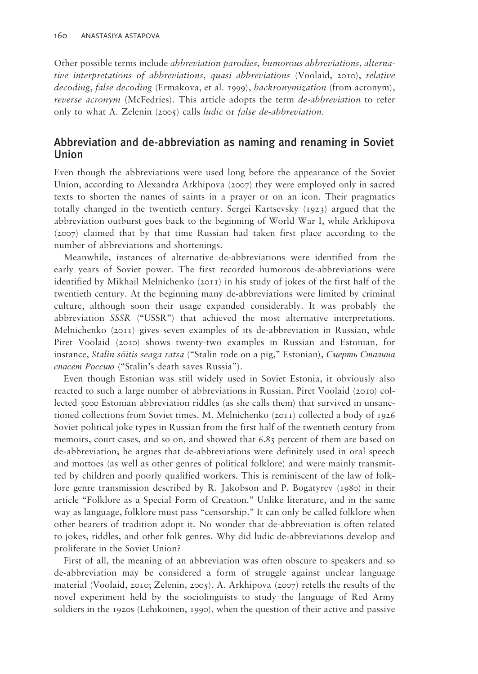Other possible terms include *abbreviation parodies*, *humorous abbreviations*, *alternative interpretations of abbreviations*, *quasi abbreviations* (Voolaid, 2010), *relative decoding*, *false decoding* (Ermakova, et al. 1999), *backronymization* (from acronym), *reverse acronym* (McFedries). This article adopts the term *de-abbreviation* to refer only to what A. Zelenin (2005) calls *ludic* or *false de-abbreviation*.

## Abbreviation and de-abbreviation as naming and renaming in Soviet Union

Even though the abbreviations were used long before the appearance of the Soviet Union, according to Alexandra Arkhipova (2007) they were employed only in sacred texts to shorten the names of saints in a prayer or on an icon. Their pragmatics totally changed in the twentieth century. Sergei Kartsevsky (1923) argued that the abbreviation outburst goes back to the beginning of World War I, while Arkhipova (2007) claimed that by that time Russian had taken first place according to the number of abbreviations and shortenings.

Meanwhile, instances of alternative de-abbreviations were identified from the early years of Soviet power. The first recorded humorous de-abbreviations were identified by Mikhail Melnichenko (2011) in his study of jokes of the first half of the twentieth century. At the beginning many de-abbreviations were limited by criminal culture, although soon their usage expanded considerably. It was probably the abbreviation *SSSR* ("USSR") that achieved the most alternative interpretations. Melnichenko (2011) gives seven examples of its de-abbreviation in Russian, while Piret Voolaid (2010) shows twenty-two examples in Russian and Estonian, for instance, *Stalin sõitis seaga ratsa* ("Stalin rode on a pig," Estonian), *Смерть Сталина спасет Россию* ("Stalin's death saves Russia").

Even though Estonian was still widely used in Soviet Estonia, it obviously also reacted to such a large number of abbreviations in Russian. Piret Voolaid (2010) collected 3000 Estonian abbreviation riddles (as she calls them) that survived in unsanctioned collections from Soviet times. M. Melnichenko (2011) collected a body of 1926 Soviet political joke types in Russian from the first half of the twentieth century from memoirs, court cases, and so on, and showed that 6.85 percent of them are based on de-abbreviation; he argues that de-abbreviations were definitely used in oral speech and mottoes (as well as other genres of political folklore) and were mainly transmitted by children and poorly qualified workers. This is reminiscent of the law of folklore genre transmission described by R. Jakobson and P. Bogatyrev (1980) in their article "Folklore as a Special Form of Creation." Unlike literature, and in the same way as language, folklore must pass "censorship." It can only be called folklore when other bearers of tradition adopt it. No wonder that de-abbreviation is often related to jokes, riddles, and other folk genres. Why did ludic de-abbreviations develop and proliferate in the Soviet Union?

First of all, the meaning of an abbreviation was often obscure to speakers and so de-abbreviation may be considered a form of struggle against unclear language material (Voolaid, 2010; Zelenin, 2005). A. Arkhipova (2007) retells the results of the novel experiment held by the sociolinguists to study the language of Red Army soldiers in the 1920s (Lehikoinen, 1990), when the question of their active and passive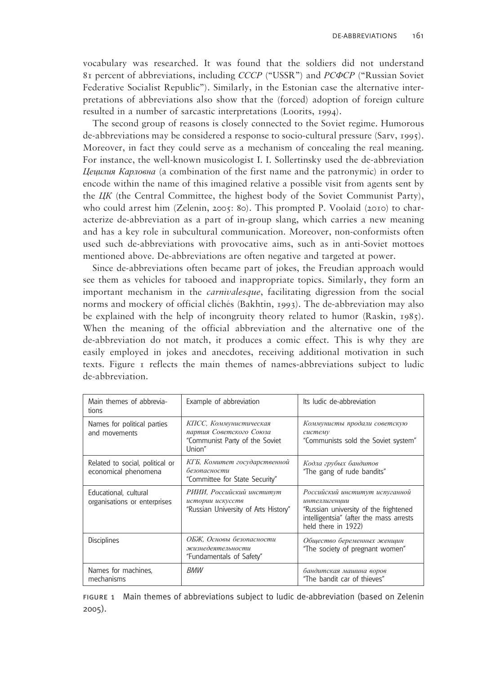vocabulary was researched. It was found that the soldiers did not understand 81 percent of abbreviations, including *СССР* ("USSR") and *РСФСР* ("Russian Soviet Federative Socialist Republic"). Similarly, in the Estonian case the alternative interpretations of abbreviations also show that the (forced) adoption of foreign culture resulted in a number of sarcastic interpretations (Loorits, 1994).

The second group of reasons is closely connected to the Soviet regime. Humorous de-abbreviations may be considered a response to socio-cultural pressure (Sarv, 1995). Moreover, in fact they could serve as a mechanism of concealing the real meaning. For instance, the well-known musicologist I. I. Sollertinsky used the de-abbreviation *Цецилия Карловна* (a combination of the first name and the patronymic) in order to encode within the name of this imagined relative a possible visit from agents sent by the *ЦК* (the Central Committee, the highest body of the Soviet Communist Party), who could arrest him (Zelenin, 2005: 80). This prompted P. Voolaid (2010) to characterize de-abbreviation as a part of in-group slang, which carries a new meaning and has a key role in subcultural communication. Moreover, non-conformists often used such de-abbreviations with provocative aims, such as in anti-Soviet mottoes mentioned above. De-abbreviations are often negative and targeted at power.

Since de-abbreviations often became part of jokes, the Freudian approach would see them as vehicles for tabooed and inappropriate topics. Similarly, they form an important mechanism in the *carnivalesque*, facilitating digression from the social norms and mockery of official clichés (Bakhtin, 1993). The de-abbreviation may also be explained with the help of incongruity theory related to humor (Raskin, 1985). When the meaning of the official abbreviation and the alternative one of the de-abbreviation do not match, it produces a comic effect. This is why they are easily employed in jokes and anecdotes, receiving additional motivation in such texts. Figure 1 reflects the main themes of names-abbreviations subject to ludic de-abbreviation.

| Main themes of abbrevia-<br>tions                       | Example of abbreviation                                                                       | Its Judic de-abbreviation                                                                                                                                  |
|---------------------------------------------------------|-----------------------------------------------------------------------------------------------|------------------------------------------------------------------------------------------------------------------------------------------------------------|
| Names for political parties<br>and movements            | КПСС, Коммунистическая<br>партия Советского Союза<br>"Communist Party of the Soviet<br>Union" | Коммунисты продали советскую<br>систему<br>"Communists sold the Soviet system"                                                                             |
| Related to social, political or<br>economical phenomena | КГБ, Комитет государственной<br>безопасности<br>"Committee for State Security"                | Кодла грубых бандитов<br>"The gang of rude bandits"                                                                                                        |
| Educational, cultural<br>organisations or enterprises   | РИИИ, Российский институт<br>истории искусств<br>"Russian University of Arts History"         | Российский институт испуганной<br>интеллигенции<br>"Russian university of the frightened<br>intelligentsia" (after the mass arrests<br>held there in 1922) |
| <b>Disciplines</b>                                      | ОБЖ, Основы безопасности<br>жизнедеятельности<br>"Fundamentals of Safety"                     | Общество беременных женщин<br>"The society of pregnant women"                                                                                              |
| Names for machines,<br>mechanisms                       | <b>BMW</b>                                                                                    | бандитская машина воров<br>"The bandit car of thieves"                                                                                                     |

figure 1 Main themes of abbreviations subject to ludic de-abbreviation (based on Zelenin 2005).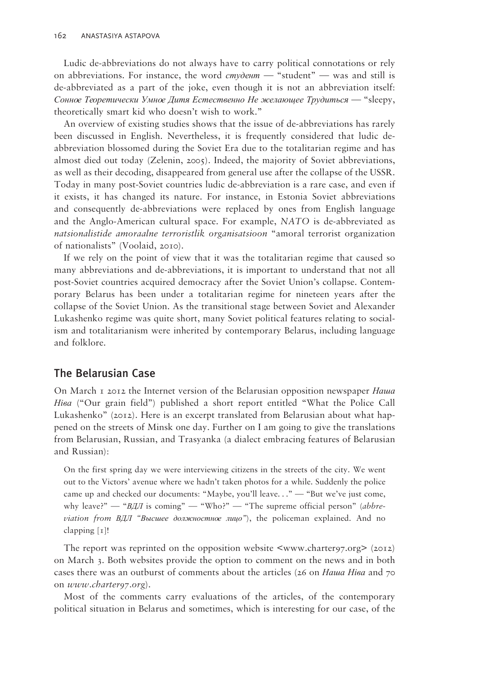Ludic de-abbreviations do not always have to carry political connotations or rely on abbreviations. For instance, the word *студент —* "student" — was and still is de-abbreviated as a part of the joke, even though it is not an abbreviation itself: *Сонное Теоретически Умное Дитя Естественно Не желающее Трудиться —* "sleepy, theoretically smart kid who doesn't wish to work."

An overview of existing studies shows that the issue of de-abbreviations has rarely been discussed in English. Nevertheless, it is frequently considered that ludic deabbreviation blossomed during the Soviet Era due to the totalitarian regime and has almost died out today (Zelenin, 2005). Indeed, the majority of Soviet abbreviations, as well as their decoding, disappeared from general use after the collapse of the USSR. Today in many post-Soviet countries ludic de-abbreviation is a rare case, and even if it exists, it has changed its nature. For instance, in Estonia Soviet abbreviations and consequently de-abbreviations were replaced by ones from English language and the Anglo-American cultural space. For example, *NATO* is de-abbreviated as *natsionalistide amoraalne terroristlik organisatsioon* "amoral terrorist organization of nationalists" (Voolaid, 2010).

If we rely on the point of view that it was the totalitarian regime that caused so many abbreviations and de-abbreviations, it is important to understand that not all post-Soviet countries acquired democracy after the Soviet Union's collapse. Contemporary Belarus has been under a totalitarian regime for nineteen years after the collapse of the Soviet Union. As the transitional stage between Soviet and Alexander Lukashenko regime was quite short, many Soviet political features relating to socialism and totalitarianism were inherited by contemporary Belarus, including language and folklore.

## The Belarusian Case

On March 1 2012 the Internet version of the Belarusian opposition newspaper *Наша Ніва* ("Our grain field") published a short report entitled "What the Police Call Lukashenko" (2012). Here is an excerpt translated from Belarusian about what happened on the streets of Minsk one day. Further on I am going to give the translations from Belarusian, Russian, and Trasyanka (a dialect embracing features of Belarusian and Russian):

On the first spring day we were interviewing citizens in the streets of the city. We went out to the Victors' avenue where we hadn't taken photos for a while. Suddenly the police came up and checked our documents: "Maybe, you'll leave..." - "But we've just come, why leave?" — "*BДЛ* is coming" — "Who?" — "The supreme official person" (*abbreviation from ВДЛ "Высшее должностное лицо"*), the policeman explained. And no clapping [1]!

The report was reprinted on the opposition website <www.charter97.org> (2012) on March 3. Both websites provide the option to comment on the news and in both cases there was an outburst of comments about the articles (26 on *Наша Ніва* and 70 on *www.charter97.org*).

Most of the comments carry evaluations of the articles, of the contemporary political situation in Belarus and sometimes, which is interesting for our case, of the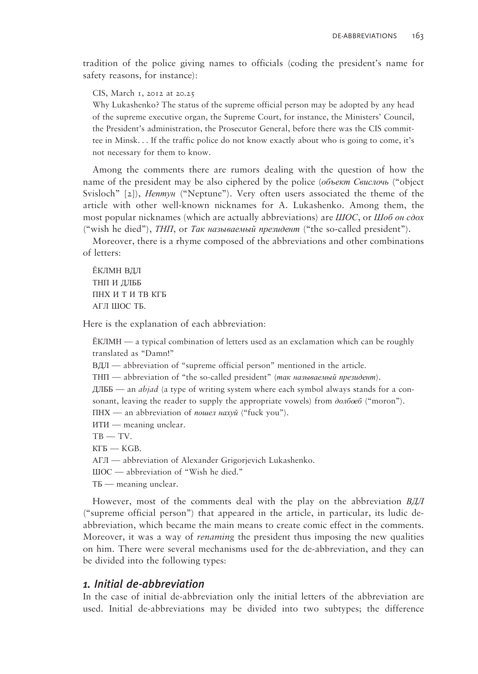tradition of the police giving names to officials (coding the president's name for safety reasons, for instance):

CIS, March 1, 2012 at 20.25

Why Lukashenko? The status of the supreme official person may be adopted by any head of the supreme executive organ, the Supreme Court, for instance, the Ministers' Council, the President's administration, the Prosecutor General, before there was the CIS committee in Minsk. . . If the traffic police do not know exactly about who is going to come, it's not necessary for them to know.

Among the comments there are rumors dealing with the question of how the name of the president may be also ciphered by the police (*объект Свислочь* ("object Svisloch" [2]), *Нептун* ("Neptune"). Very often users associated the theme of the article with other well-known nicknames for A. Lukashenko. Among them, the most popular nicknames (which are actually abbreviations) are *ШОС*, or *Шоб он сдох* ("wish he died"), *ТНП*, or *Так называемый президент* ("the so-called president").

Moreover, there is a rhyme composed of the abbreviations and other combinations of letters:

ЁКЛМН ВДЛ ТНП И ДЛББ ПНХ И Т И ТВ КГБ АГЛ ШОС ТБ*.*

Here is the explanation of each abbreviation:

 $EKJIMH$  — a typical combination of letters used as an exclamation which can be roughly translated as "Damn!"

ВДЛ — abbreviation of "supreme official person" mentioned in the article.

ТНП — abbreviation of "the so-called president" (*так называемый президент*).

ДЛББ — an *abjad* (a type of writing system where each symbol always stands for a consonant, leaving the reader to supply the appropriate vowels) from *долбоеб* ("moron").

ПНХ — an abbreviation of *пошел нахуй* ("fuck you").

- ИТИ meaning unclear.
- $TB TV$ .

 $KFB$  —  $KGB$ .

АГЛ — abbreviation of Alexander Grigorjevich Lukashenko.

ШОС — abbreviation of "Wish he died."

ТБ — meaning unclear.

However, most of the comments deal with the play on the abbreviation *ВДЛ* ("supreme official person") that appeared in the article, in particular, its ludic deabbreviation, which became the main means to create comic effect in the comments. Moreover, it was a way of *renaming* the president thus imposing the new qualities on him. There were several mechanisms used for the de-abbreviation, and they can be divided into the following types:

#### *1. Initial de-abbreviation*

In the case of initial de-abbreviation only the initial letters of the abbreviation are used. Initial de-abbreviations may be divided into two subtypes; the difference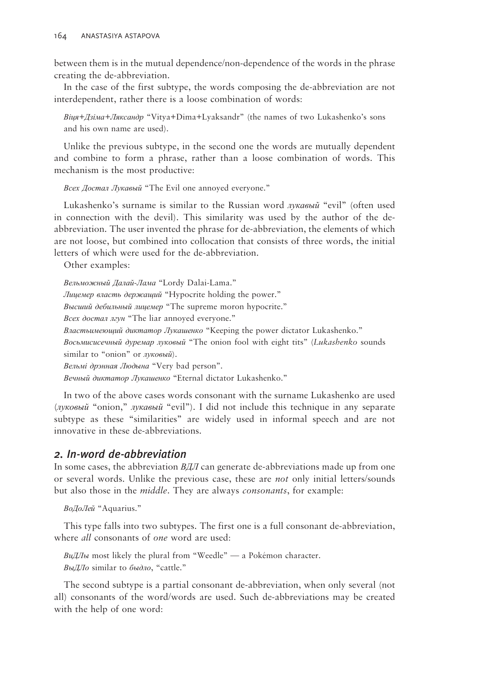between them is in the mutual dependence/non-dependence of the words in the phrase creating the de-abbreviation.

In the case of the first subtype, the words composing the de-abbreviation are not interdependent, rather there is a loose combination of words:

*Віця+Дзіма+Ляксандр* "Vitya+Dima+Lyaksandr" (the names of two Lukashenko's sons and his own name are used).

Unlike the previous subtype, in the second one the words are mutually dependent and combine to form a phrase, rather than a loose combination of words. This mechanism is the most productive:

*Всех Достал Лукавый* "The Evil one annoyed everyone."

Lukashenko's surname is similar to the Russian word *лукавый* "evil" (often used in connection with the devil). This similarity was used by the author of the deabbreviation. The user invented the phrase for de-abbreviation, the elements of which are not loose, but combined into collocation that consists of three words, the initial letters of which were used for the de-abbreviation.

Other examples:

*Вельможный Далай-Лама* "Lordy Dalai-Lama." *Лицемер власть держащий* "Hypocrite holding the power." *Высший дебильный лицемер* "The supreme moron hypocrite." *Всех достал лгун* "The liar annoyed everyone." *Властьимеющий диктатор Лукашенко* "Keeping the power dictator Lukashenko." *Восьмисисечный дуремар луковый* "The onion fool with eight tits" (*Lukashenko* sounds similar to "onion" or *луковый*). *Вельмі дрэнная Людына* "Very bad person". *Вечный диктатор Лукашенко* "Eternal dictator Lukashenko."

In two of the above cases words consonant with the surname Lukashenko are used (*луковый* "onion," *лукавый* "evil"). I did not include this technique in any separate subtype as these "similarities" are widely used in informal speech and are not innovative in these de-abbreviations.

## *2. In-word de-abbreviation*

In some cases, the abbreviation *BДЛ* can generate de-abbreviations made up from one or several words. Unlike the previous case, these are *not* only initial letters/sounds but also those in the *middle*. They are always *consonants*, for example:

*ВоДоЛей* "Aquarius."

This type falls into two subtypes. The first one is a full consonant de-abbreviation, where *all* consonants of *one* word are used:

*ВиДЛы* most likely the plural from "Weedle" *—* a Pokémon character. *ВыДЛо* similar to *быдло*, "cattle."

The second subtype is a partial consonant de-abbreviation, when only several (not all) consonants of the word/words are used. Such de-abbreviations may be created with the help of one word: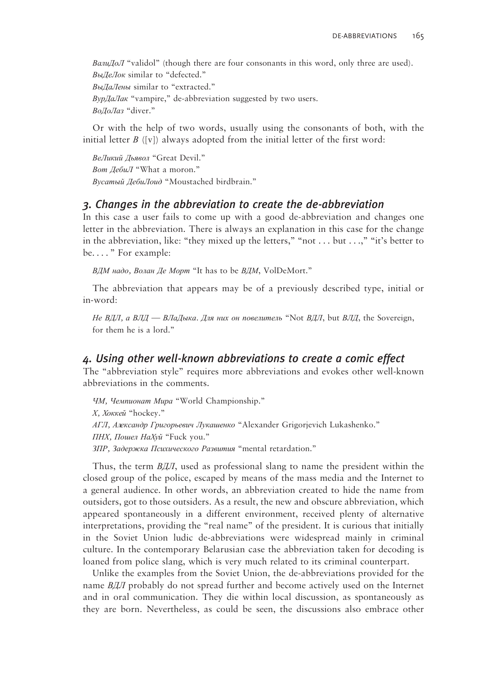*ВалиДоЛ* "validol" (though there are four consonants in this word, only three are used). *ВыДеЛок* similar to "defected." *ВыДаЛены* similar to "extracted." *ВурДаЛак* "vampire," de-abbreviation suggested by two users. *ВоДоЛаз* "diver."

Or with the help of two words, usually using the consonants of both, with the initial letter *B* ([v]) always adopted from the initial letter of the first word:

*ВеЛикий Дьявол* "Great Devil." *Вот ДебиЛ* "What a moron." *Вусатый ДебиЛоид* "Moustached birdbrain."

#### *3. Changes in the abbreviation to create the de-abbreviation*

In this case a user fails to come up with a good de-abbreviation and changes one letter in the abbreviation. There is always an explanation in this case for the change in the abbreviation, like: "they mixed up the letters," "not  $\dots$  but  $\dots$ ," "it's better to be. . . . " For example:

*ВДМ надо, Волан Де Морт* "It has to be *ВДМ*, VolDeMort."

The abbreviation that appears may be of a previously described type, initial or in-word:

*Не ВДЛ, а ВЛД — ВЛаДыка. Для них он повелитель* "Not *ВДЛ*, but *ВЛД*, the Sovereign, for them he is a lord."

#### *4. Using other well-known abbreviations to create a comic effect*

The "abbreviation style" requires more abbreviations and evokes other well-known abbreviations in the comments.

*ЧМ, Чемпионат Мира* "World Championship." *Х, Хоккей* "hockey." *АГЛ, Александр Григорьевич Лукашенко* "Alexander Grigorjevich Lukashenko." *ПНХ, Пошел НаХуй* "Fuck you." *ЗПР, Задержка Психического Развития* "mental retardation."

Thus, the term *ВДЛ*, used as professional slang to name the president within the closed group of the police, escaped by means of the mass media and the Internet to a general audience. In other words, an abbreviation created to hide the name from outsiders, got to those outsiders. As a result, the new and obscure abbreviation, which appeared spontaneously in а different environment, received plenty of alternative interpretations, providing the "real name" of the president. It is curious that initially in the Soviet Union ludic de-abbreviations were widespread mainly in criminal culture. In the contemporary Belarusian case the abbreviation taken for decoding is loaned from police slang, which is very much related to its criminal counterpart.

Unlike the examples from the Soviet Union, the de-abbreviations provided for the name *ВДЛ* probably do not spread further and become actively used on the Internet and in oral communication. They die within local discussion, as spontaneously as they are born. Nevertheless, as could be seen, the discussions also embrace other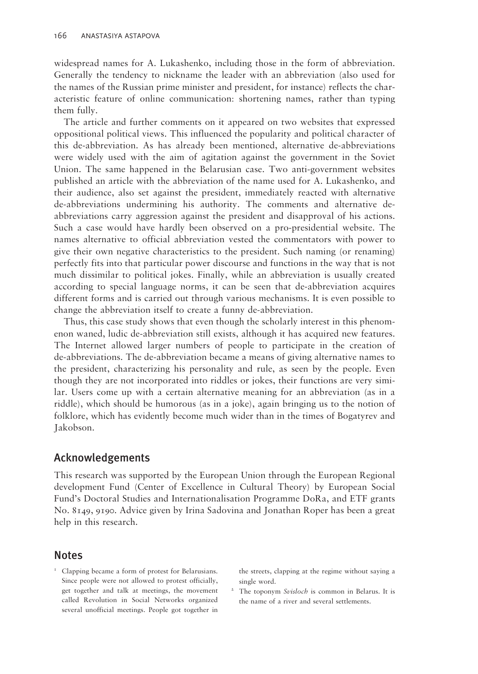widespread names for A. Lukashenko, including those in the form of abbreviation. Generally the tendency to nickname the leader with an abbreviation (also used for the names of the Russian prime minister and president, for instance) reflects the characteristic feature of online communication: shortening names, rather than typing them fully.

The article and further comments on it appeared on two websites that expressed oppositional political views. This influenced the popularity and political character of this de-abbreviation. As has already been mentioned, alternative de-abbreviations were widely used with the aim of agitation against the government in the Soviet Union. The same happened in the Belarusian case. Two anti-government websites published an article with the abbreviation of the name used for A. Lukashenko, and their audience, also set against the president, immediately reacted with alternative de-abbreviations undermining his authority. The comments and alternative deabbreviations carry aggression against the president and disapproval of his actions. Such a case would have hardly been observed on a pro-presidential website. The names alternative to official abbreviation vested the commentators with power to give their own negative characteristics to the president. Such naming (or renaming) perfectly fits into that particular power discourse and functions in the way that is not much dissimilar to political jokes. Finally, while an abbreviation is usually created according to special language norms, it can be seen that de-abbreviation acquires different forms and is carried out through various mechanisms. It is even possible to change the abbreviation itself to create a funny de-abbreviation.

Thus, this case study shows that even though the scholarly interest in this phenomenon waned, ludic de-abbreviation still exists, although it has acquired new features. The Internet allowed larger numbers of people to participate in the creation of de-abbreviations. The de-abbreviation became a means of giving alternative names to the president, characterizing his personality and rule, as seen by the people. Even though they are not incorporated into riddles or jokes, their functions are very similar. Users come up with a certain alternative meaning for an abbreviation (as in a riddle), which should be humorous (as in a joke), again bringing us to the notion of folklore, which has evidently become much wider than in the times of Bogatyrev and Jakobson.

### Acknowledgements

This research was supported by the European Union through the European Regional development Fund (Center of Excellence in Cultural Theory) by European Social Fund's Doctoral Studies and Internationalisation Programme DoRa, and ETF grants No. 8149, 9190. Advice given by Irina Sadovina and Jonathan Roper has been a great help in this research.

#### Notes

<sup>1</sup> Clapping became a form of protest for Belarusians. Since people were not allowed to protest officially, get together and talk at meetings, the movement called Revolution in Social Networks organized several unofficial meetings. People got together in

the streets, clapping at the regime without saying a single word.

2 The toponym *Svisloch* is common in Belarus. It is the name of a river and several settlements.